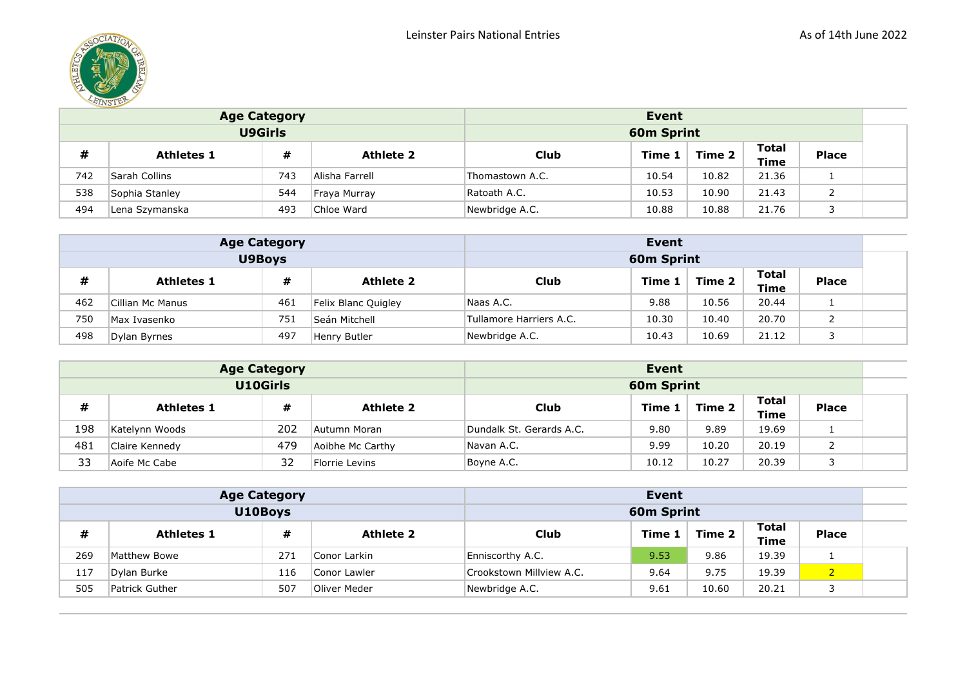

|     |                   | <b>Age Category</b>                       |                | Event           |                   |       |       |  |  |
|-----|-------------------|-------------------------------------------|----------------|-----------------|-------------------|-------|-------|--|--|
|     |                   | <b>U9Girls</b>                            |                |                 | <b>60m Sprint</b> |       |       |  |  |
| #   | <b>Athletes 1</b> | Club                                      | <b>Place</b>   |                 |                   |       |       |  |  |
| 742 | Sarah Collins     | 743                                       | Alisha Farrell | Thomastown A.C. | 10.54             | 10.82 | 21.36 |  |  |
| 538 | Sophia Stanley    | 544                                       | Fraya Murray   | Ratoath A.C.    | 10.53             | 10.90 | 21.43 |  |  |
| 494 | Lena Szymanska    | Newbridge A.C.<br>10.88<br>21.76<br>10.88 |                |                 |                   |       |       |  |  |

|     |                                            | <b>Age Category</b> |                     | Event                   |                   |        |                      |              |  |
|-----|--------------------------------------------|---------------------|---------------------|-------------------------|-------------------|--------|----------------------|--------------|--|
|     |                                            | <b>U9Boys</b>       |                     |                         | <b>60m Sprint</b> |        |                      |              |  |
| #   | #<br><b>Athlete 2</b><br><b>Athletes 1</b> |                     |                     | <b>Club</b>             | Time 1            | Time 2 | Total<br><b>Time</b> | <b>Place</b> |  |
| 462 | Cillian Mc Manus                           | 461                 | Felix Blanc Quigley | Naas A.C.               | 9.88              | 10.56  | 20.44                |              |  |
| 750 | Max Ivasenko                               | 751                 | Seán Mitchell       | Tullamore Harriers A.C. | 10.30             | 10.40  | 20.70                |              |  |
| 498 | Dylan Byrnes                               | 497                 | Henry Butler        | Newbridge A.C.          | 10.43             | 10.69  | 21.12                |              |  |

|     | <b>Age Category</b> |                 |                  | Event                    |            |        |                             |              |  |
|-----|---------------------|-----------------|------------------|--------------------------|------------|--------|-----------------------------|--------------|--|
|     |                     | <b>U10Girls</b> |                  |                          | 60m Sprint |        |                             |              |  |
| #   | <b>Athletes 1</b>   | #               | <b>Athlete 2</b> | Club                     | Time 1     | Time 2 | <b>Total</b><br><b>Time</b> | <b>Place</b> |  |
| 198 | Katelynn Woods      | 202             | Autumn Moran     | Dundalk St. Gerards A.C. | 9.80       | 9.89   | 19.69                       |              |  |
| 481 | Claire Kennedy      | 479             | Aoibhe Mc Carthy | Navan A.C.               | 9.99       | 10.20  | 20.19                       |              |  |
| 33  | Aoife Mc Cabe       | 32              | Florrie Levins   | Boyne A.C.               | 10.12      | 10.27  | 20.39                       |              |  |

|     |                   | <b>Age Category</b>                      |              | Event                    |                             |              |       |                |  |
|-----|-------------------|------------------------------------------|--------------|--------------------------|-----------------------------|--------------|-------|----------------|--|
|     |                   | U10Boys                                  |              |                          | 60m Sprint                  |              |       |                |  |
| #   | <b>Athletes 1</b> | <b>Club</b>                              | Time 1       | Time 2                   | <b>Total</b><br><b>Time</b> | <b>Place</b> |       |                |  |
| 269 | Matthew Bowe      | 271                                      | Conor Larkin | Enniscorthy A.C.         | 9.53                        | 9.86         | 19.39 |                |  |
| 117 | Dylan Burke       | 116                                      | Conor Lawler | Crookstown Millview A.C. | 9.64                        | 9.75         | 19.39 | $\overline{2}$ |  |
| 505 | Patrick Guther    | Newbridge A.C.<br>20.21<br>9.61<br>10.60 |              |                          |                             |              |       |                |  |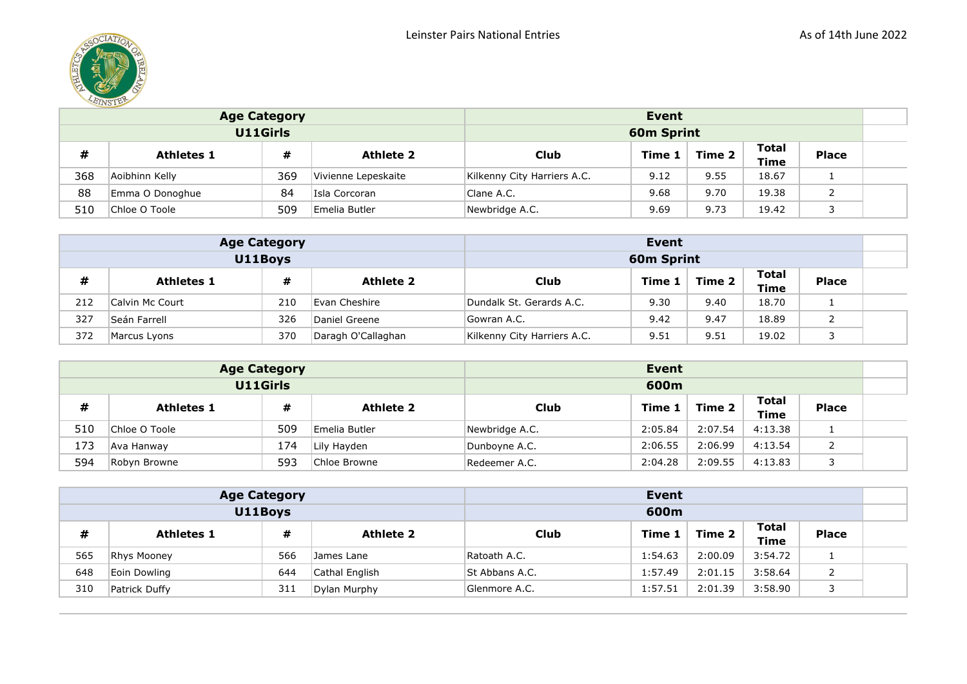

|     | <b>Age Category</b> |                |                     | Event                       |                      |              |       |  |  |
|-----|---------------------|----------------|---------------------|-----------------------------|----------------------|--------------|-------|--|--|
|     |                     | U11Girls       |                     |                             | <b>60m Sprint</b>    |              |       |  |  |
| #   | <b>Athletes 1</b>   | <b>Club</b>    | Time 1              | Time 2                      | <b>Total</b><br>Time | <b>Place</b> |       |  |  |
| 368 | Aoibhinn Kelly      | 369            | Vivienne Lepeskaite | Kilkenny City Harriers A.C. | 9.12                 | 9.55         | 18.67 |  |  |
| 88  | Emma O Donoghue     | 84             | Isla Corcoran       | Clane A.C.                  | 9.68                 | 9.70         | 19.38 |  |  |
| 510 | Chloe O Toole       | Newbridge A.C. | 9.69                | 9.73                        | 19.42                |              |       |  |  |

|     | <b>Age Category</b> |         |                    | Event                       |            |        |                      |              |  |
|-----|---------------------|---------|--------------------|-----------------------------|------------|--------|----------------------|--------------|--|
|     |                     | U11Boys |                    |                             | 60m Sprint |        |                      |              |  |
| #   | <b>Athletes 1</b>   | #       | <b>Athlete 2</b>   | <b>Club</b>                 | Time 1     | Time 2 | Total<br><b>Time</b> | <b>Place</b> |  |
| 212 | Calvin Mc Court     | 210     | Evan Cheshire      | Dundalk St. Gerards A.C.    | 9.30       | 9.40   | 18.70                |              |  |
| 327 | Seán Farrell        | 326     | Daniel Greene      | Gowran A.C.                 | 9.42       | 9.47   | 18.89                |              |  |
| 372 | Marcus Lyons        | 370     | Daragh O'Callaghan | Kilkenny City Harriers A.C. | 9.51       | 9.51   | 19.02                |              |  |

|     | <b>Age Category</b> |          |                  | Event          |         |         |                      |              |  |
|-----|---------------------|----------|------------------|----------------|---------|---------|----------------------|--------------|--|
|     |                     | U11Girls |                  |                | 600m    |         |                      |              |  |
| #   | <b>Athletes 1</b>   | #        | <b>Athlete 2</b> | <b>Club</b>    | Time 1  | Time 2  | Total<br><b>Time</b> | <b>Place</b> |  |
| 510 | Chloe O Toole       | 509      | Emelia Butler    | Newbridge A.C. | 2:05.84 | 2:07.54 | 4:13.38              |              |  |
| 173 | Ava Hanway          | 174      | Lily Hayden      | Dunbovne A.C.  | 2:06.55 | 2:06.99 | 4:13.54              |              |  |
| 594 | Robyn Browne        | 593      | Chloe Browne     | Redeemer A.C.  | 2:04.28 | 2:09.55 | 4:13.83              |              |  |

|     |                    | <b>Age Category</b>                                                     |                | Event          |         |         |         |  |  |
|-----|--------------------|-------------------------------------------------------------------------|----------------|----------------|---------|---------|---------|--|--|
|     |                    | U11Boys                                                                 |                |                | 600m    |         |         |  |  |
| #   | <b>Athletes 1</b>  | <b>Total</b><br><b>Place</b><br>Club<br>Time 2<br>Time 1<br><b>Time</b> |                |                |         |         |         |  |  |
| 565 | <b>Rhys Mooney</b> | 566                                                                     | James Lane     | Ratoath A.C.   | 1:54.63 | 2:00.09 | 3:54.72 |  |  |
| 648 | Eoin Dowling       | 644                                                                     | Cathal English | St Abbans A.C. | 1:57.49 | 2:01.15 | 3:58.64 |  |  |
| 310 | Patrick Duffy      | Glenmore A.C.                                                           | 1:57.51        | 2:01.39        | 3:58.90 |         |         |  |  |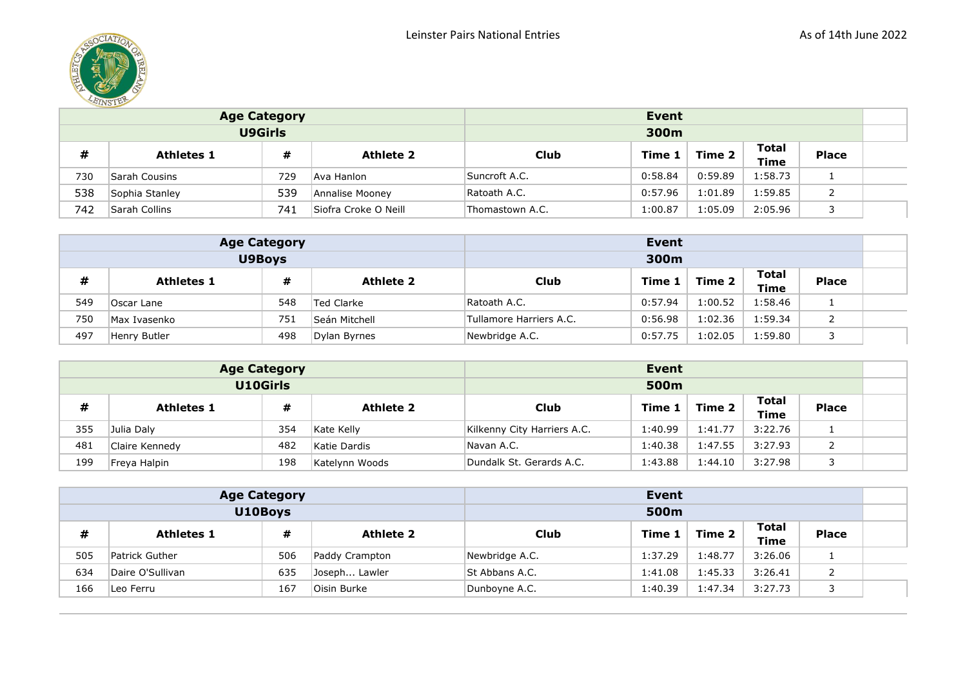

|     |                   | <b>Age Category</b> |                  | Event         |         |         |                      |              |  |
|-----|-------------------|---------------------|------------------|---------------|---------|---------|----------------------|--------------|--|
|     |                   | <b>U9Girls</b>      |                  |               | 300m    |         |                      |              |  |
| #   | <b>Athletes 1</b> | #                   | <b>Athlete 2</b> | <b>Club</b>   | Time 1  | Time 2  | <b>Total</b><br>Time | <b>Place</b> |  |
| 730 | Sarah Cousins     | 729                 | Ava Hanlon       | Suncroft A.C. | 0:58.84 | 0:59.89 | 1:58.73              |              |  |
| 538 | Sophia Stanley    | 539                 | Annalise Mooney  | Ratoath A.C.  | 0:57.96 | l:01.89 | 1:59.85              |              |  |
| 742 | Sarah Collins     | Thomastown A.C.     | 1:00.87          | l:05.09       | 2:05.96 |         |                      |              |  |

|     |                   | <b>Age Category</b> |                  | Event                   |         |         |                      |              |  |
|-----|-------------------|---------------------|------------------|-------------------------|---------|---------|----------------------|--------------|--|
|     |                   | U9Boys              |                  |                         | 300m    |         |                      |              |  |
| #   | <b>Athletes 1</b> | #                   | <b>Athlete 2</b> | Club                    | Time 1  | Time 2  | Total<br><b>Time</b> | <b>Place</b> |  |
| 549 | Oscar Lane        | 548                 | Ted Clarke       | Ratoath A.C.            | 0:57.94 | 1:00.52 | 1:58.46              |              |  |
| 750 | Max Ivasenko      | 751                 | Seán Mitchell    | Tullamore Harriers A.C. | 0:56.98 | 1:02.36 | 1:59.34              |              |  |
| 497 | Henry Butler      | 498                 | Dylan Byrnes     | Newbridge A.C.          | 0:57.75 | 1:02.05 | 1:59.80              |              |  |

|     |                   | <b>Age Category</b> |                  | Event                       |         |         |                      |              |  |
|-----|-------------------|---------------------|------------------|-----------------------------|---------|---------|----------------------|--------------|--|
|     |                   | U10Girls            |                  |                             | 500m    |         |                      |              |  |
| #   | <b>Athletes 1</b> | #                   | <b>Athlete 2</b> | <b>Club</b>                 | Time 1  | Time 2  | <b>Total</b><br>Time | <b>Place</b> |  |
| 355 | Julia Daly        | 354                 | Kate Kelly       | Kilkenny City Harriers A.C. | 1:40.99 | 1:41.77 | 3:22.76              |              |  |
| 481 | Claire Kennedy    | 482                 | Katie Dardis     | Navan A.C.                  | 1:40.38 | 1:47.55 | 3:27.93              |              |  |
| 199 | Freya Halpin      | 198                 | Katelynn Woods   | Dundalk St. Gerards A.C.    | 1:43.88 | l:44.10 | 3:27.98              |              |  |

|     |                   | <b>Age Category</b> |                  |                | Event   |         |                             |              |  |
|-----|-------------------|---------------------|------------------|----------------|---------|---------|-----------------------------|--------------|--|
|     |                   | U10Boys             |                  |                | 500m    |         |                             |              |  |
| #   | <b>Athletes 1</b> | #                   | <b>Athlete 2</b> | Club           | Time 1  | Time 2  | <b>Total</b><br><b>Time</b> | <b>Place</b> |  |
| 505 | Patrick Guther    | 506                 | Paddy Crampton   | Newbridge A.C. | 1:37.29 | 1:48.77 | 3:26.06                     |              |  |
| 634 | Daire O'Sullivan  | 635                 | Joseph Lawler    | St Abbans A.C. | 1:41.08 | 1:45.33 | 3:26.41                     |              |  |
| 166 | Leo Ferru         | Dunboyne A.C.       | 1:40.39          | 1:47.34        | 3:27.73 |         |                             |              |  |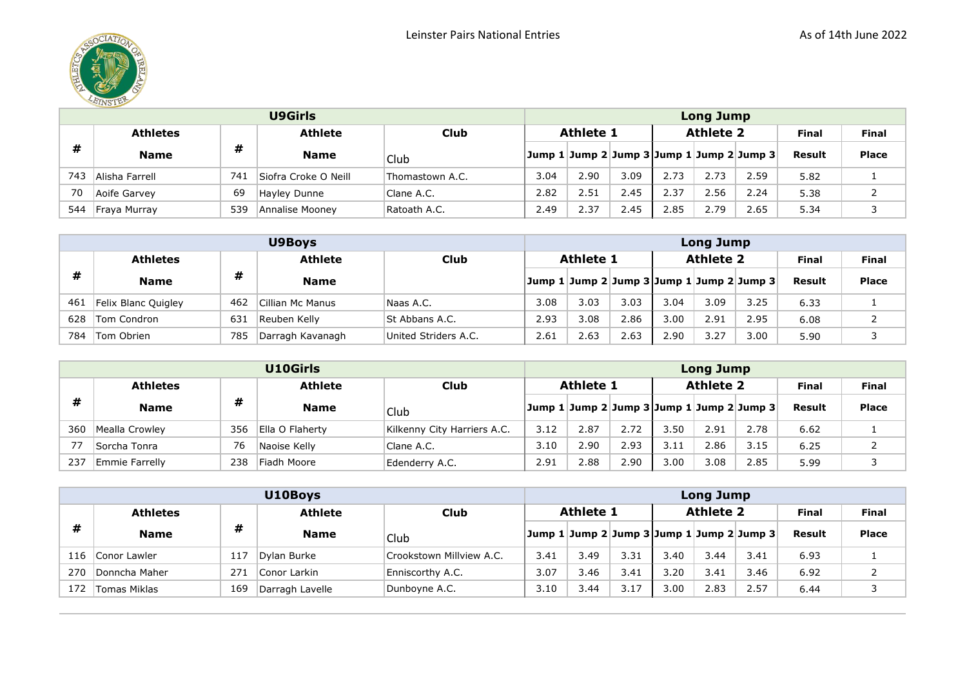

|     | <b>U9Girls</b>  |     |                      |                 |                  |      | <b>Long Jump</b> |      |                  |                                           |              |              |  |  |  |
|-----|-----------------|-----|----------------------|-----------------|------------------|------|------------------|------|------------------|-------------------------------------------|--------------|--------------|--|--|--|
|     | <b>Athletes</b> |     | <b>Athlete</b>       | <b>Club</b>     | <b>Athlete 1</b> |      |                  |      | <b>Athlete 2</b> |                                           | <b>Final</b> | <b>Final</b> |  |  |  |
| #   | <b>Name</b>     | #   | <b>Name</b>          | Club            |                  |      |                  |      |                  | Jump 1 Jump 2 Jump 3 Jump 1 Jump 2 Jump 3 | Result       | <b>Place</b> |  |  |  |
| 743 | Alisha Farrell  | 74. | Siofra Croke O Neill | Thomastown A.C. | 3.04             | 2.90 | 3.09             | 2.73 | 2.73             | 2.59                                      | 5.82         |              |  |  |  |
| 70  | Aoife Garvey    | 69  | Hayley Dunne         | Clane A.C.      | 2.82             | 2.51 | 2.45             | 2.37 | 2.56             | 2.24                                      | 5.38         |              |  |  |  |
| 544 | Fraya Murray    | 539 | Annalise Moonev      | Ratoath A.C.    | 2.49             | 2.37 | 2.45             | 2.85 | 2.79             | 2.65                                      | 5.34         |              |  |  |  |

|     | U9Boys              |     |                  |                      |      | <b>Long Jump</b>                          |      |      |                  |      |        |              |  |  |
|-----|---------------------|-----|------------------|----------------------|------|-------------------------------------------|------|------|------------------|------|--------|--------------|--|--|
|     | <b>Athletes</b>     |     | <b>Athlete</b>   | <b>Club</b>          |      | <b>Athlete 1</b>                          |      |      | <b>Athlete 2</b> |      | Final  | <b>Final</b> |  |  |
| #   | <b>Name</b>         | #   | <b>Name</b>      |                      |      | Jump 1 Jump 2 Jump 3 Jump 1 Jump 2 Jump 3 |      |      |                  |      | Result | <b>Place</b> |  |  |
| 461 | Felix Blanc Quigley | 462 | Cillian Mc Manus | Naas A.C.            | 3.08 | 3.03                                      | 3.03 | 3.04 | 3.09             | 3.25 | 6.33   |              |  |  |
| 628 | Tom Condron         | 631 | Reuben Kelly     | St Abbans A.C.       | 2.93 | 3.08                                      | 2.86 | 3.00 | 2.91             | 2.95 | 6.08   |              |  |  |
| 784 | Tom Obrien          | 785 | Darragh Kavanagh | United Striders A.C. | 2.61 | 2.63                                      | 2.63 | 2.90 | 3.27             | 3.00 | 5.90   |              |  |  |

|     | U10Girls                          |     |                 |                             |      | <b>Long Jump</b>                          |      |      |                  |      |              |              |  |  |
|-----|-----------------------------------|-----|-----------------|-----------------------------|------|-------------------------------------------|------|------|------------------|------|--------------|--------------|--|--|
|     | <b>Athlete</b><br><b>Athletes</b> |     |                 | <b>Club</b>                 |      | <b>Athlete 1</b>                          |      |      | <b>Athlete 2</b> |      | <b>Final</b> | <b>Final</b> |  |  |
| #   | <b>Name</b>                       | #   | <b>Name</b>     | Club                        |      | Jump 1 Jump 2 Jump 3 Jump 1 Jump 2 Jump 3 |      |      |                  |      | Result       | <b>Place</b> |  |  |
| 360 | Mealla Crowley                    | 356 | Ella O Flahertv | Kilkenny City Harriers A.C. | 3.12 | 2.87                                      | 2.72 | 3.50 | 2.91             | 2.78 | 6.62         |              |  |  |
|     | Sorcha Tonra                      | 76  | Naoise Kelly    | Clane A.C.                  | 3.10 | 2.90                                      | 2.93 | 3.11 | 2.86             | 3.15 | 6.25         |              |  |  |
| 237 | Emmie Farrelly                    | 238 | Fiadh Moore     | Edenderry A.C.              | 2.91 | 2.88                                      | 2.90 | 3.00 | 3.08             | 2.85 | 5.99         |              |  |  |

|     | U10Boys             |                 |                 |                          |                  |                                           | <b>Long Jump</b> |                  |      |              |              |              |  |  |  |
|-----|---------------------|-----------------|-----------------|--------------------------|------------------|-------------------------------------------|------------------|------------------|------|--------------|--------------|--------------|--|--|--|
|     | <b>Athletes</b>     |                 | <b>Athlete</b>  | Club                     | <b>Athlete 1</b> |                                           |                  | <b>Athlete 2</b> |      | <b>Final</b> | <b>Final</b> |              |  |  |  |
| #   | <b>Name</b>         | #               | <b>Name</b>     | Club                     |                  | Jump 1 Jump 2 Jump 3 Jump 1 Jump 2 Jump 3 |                  |                  |      |              | Result       | <b>Place</b> |  |  |  |
| 116 | Conor Lawler        | 117             | Dylan Burke     | Crookstown Millview A.C. | 3.41             | 3.49                                      | 3.31             | 3.40             | 3.44 | 3.41         | 6.93         |              |  |  |  |
| 270 | Donncha Maher       | 27 <sup>2</sup> | Conor Larkin    | Enniscorthy A.C.         | 3.07             | 3.46                                      | 3.41             | 3.20             | 3.41 | 3.46         | 6.92         |              |  |  |  |
| 172 | <b>Tomas Miklas</b> | 169             | Darragh Lavelle | Dunboyne A.C.            | 3.10             | 3.44                                      | 3.17             | 3.00             | 2.83 | 2.57         | 6.44         |              |  |  |  |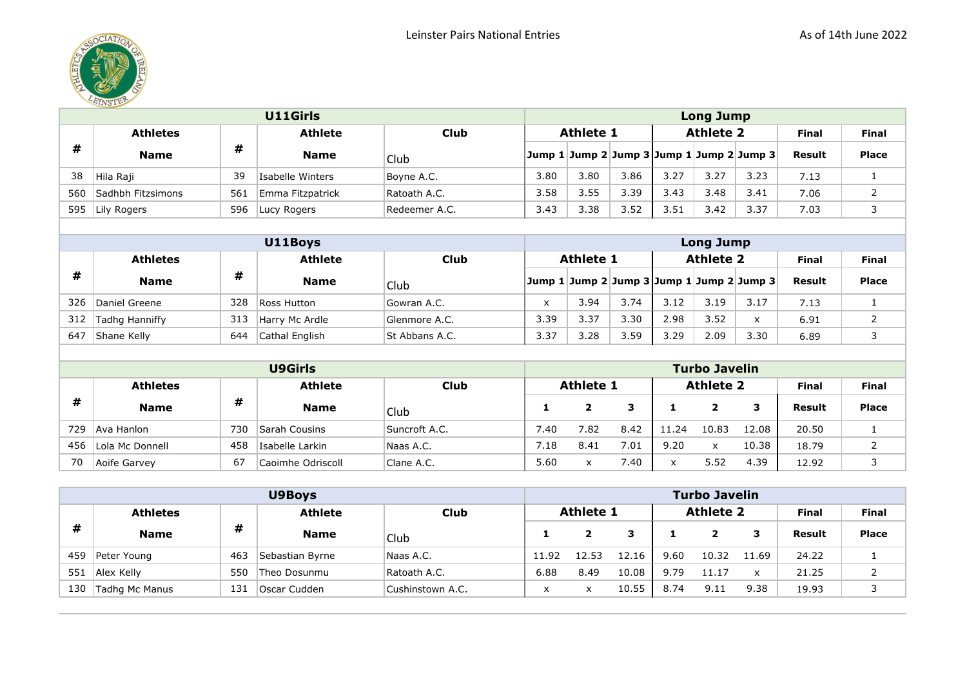

|     | U11Girls          |     |                  |               |                  | <b>Long Jump</b> |      |      |                  |                                           |              |              |  |  |
|-----|-------------------|-----|------------------|---------------|------------------|------------------|------|------|------------------|-------------------------------------------|--------------|--------------|--|--|
|     | <b>Athletes</b>   |     | <b>Athlete</b>   | <b>Club</b>   | <b>Athlete 1</b> |                  |      |      | <b>Athlete 2</b> |                                           | <b>Final</b> | <b>Final</b> |  |  |
| #   | <b>Name</b>       | #   | <b>Name</b>      | Club          |                  |                  |      |      |                  | Jump 1 Jump 2 Jump 3 Jump 1 Jump 2 Jump 3 | Result       | <b>Place</b> |  |  |
| 38  | Hila Raji         | 39  | Isabelle Winters | Boyne A.C.    | 3.80             | 3.80             | 3.86 | 3.27 | 3.27             | 3.23                                      | 7.13         |              |  |  |
| 560 | Sadhbh Fitzsimons | 561 | Emma Fitzpatrick | Ratoath A.C.  | 3.58             | 3.55             | 3.39 | 3.43 | 3.48             | 3.41                                      | 7.06         |              |  |  |
| 595 | Lily Rogers       | 596 | Lucy Rogers      | Redeemer A.C. | 3.43             | 3.38             | 3.52 | 3.51 | 3.42             | 3.37                                      | 7.03         |              |  |  |

|     | U11Boys         |     |                |                |              | Long Jump        |      |      |                  |                                           |              |              |  |  |
|-----|-----------------|-----|----------------|----------------|--------------|------------------|------|------|------------------|-------------------------------------------|--------------|--------------|--|--|
|     | <b>Athletes</b> |     | <b>Athlete</b> | <b>Club</b>    |              | <b>Athlete 1</b> |      |      | <b>Athlete 2</b> |                                           | <b>Final</b> | <b>Final</b> |  |  |
| #   | <b>Name</b>     | #   | <b>Name</b>    | Club           |              |                  |      |      |                  | Jump 1 Jump 2 Jump 3 Jump 1 Jump 2 Jump 3 | Result       | <b>Place</b> |  |  |
| 326 | Daniel Greene   | 328 | Ross Hutton    | Gowran A.C.    | $\checkmark$ | 3.94             | 3.74 | 3.12 | 3.19             | 3.17                                      | 7.13         |              |  |  |
| 312 | Tadhg Hanniffy  | 313 | Harry Mc Ardle | Glenmore A.C.  | 3.39         | 3.37             | 3.30 | 2.98 | 3.52             | $\checkmark$                              | 6.91         |              |  |  |
| 647 | Shane Kelly     | 644 | Cathal English | St Abbans A.C. | 3.37         | 3.28             | 3.59 | 3.29 | 2.09             | 3.30                                      | 6.89         |              |  |  |

|     |                 |     | <b>U9Girls</b>    |               |      |                  |      |       | <b>Turbo Javelin</b> |       |              |              |
|-----|-----------------|-----|-------------------|---------------|------|------------------|------|-------|----------------------|-------|--------------|--------------|
|     | <b>Athletes</b> |     | <b>Athlete</b>    | <b>Club</b>   |      | <b>Athlete 1</b> |      |       | <b>Athlete 2</b>     |       | <b>Final</b> | <b>Final</b> |
| #   | <b>Name</b>     | #   | <b>Name</b>       | Club          |      |                  | з    |       |                      | з     | Result       | <b>Place</b> |
| 729 | Ava Hanlon      | 730 | Sarah Cousins     | Suncroft A.C. | 7.40 | 7.82             | 8.42 | 11.24 | 10.83                | 12.08 | 20.50        |              |
| 456 | Lola Mc Donnell | 458 | Isabelle Larkin   | Naas A.C.     | ∕.18 | 8.41             | 7.01 | 9.20  | x                    | 10.38 | 18.79        |              |
| 70  | Aoife Garvey    | 67  | Caoimhe Odriscoll | Clane A.C.    | 5.60 | x                | 7.40 | x     | 5.52                 | 4.39  | 12.92        |              |

|     |                 |     | <b>U9Boys</b>   |                  | <b>Turbo Javelin</b> |                  |       |      |                  |       |              |              |  |
|-----|-----------------|-----|-----------------|------------------|----------------------|------------------|-------|------|------------------|-------|--------------|--------------|--|
|     | <b>Athletes</b> |     | <b>Athlete</b>  | <b>Club</b>      |                      | <b>Athlete 1</b> |       |      | <b>Athlete 2</b> |       | <b>Final</b> | <b>Final</b> |  |
| #   | <b>Name</b>     | #   | <b>Name</b>     | Club             |                      |                  | з     |      |                  | 3     | Result       | <b>Place</b> |  |
| 459 | Peter Young     | 463 | Sebastian Byrne | Naas A.C.        | 11.92                | 12.53            | 12.16 | 9.60 | 10.32            | 11.69 | 24.22        |              |  |
| 551 | Alex Kelly      | 550 | Theo Dosunmu    | Ratoath A.C.     | 6.88                 | 8.49             | 10.08 | 9.79 | 11.17            | X     | 21.25        |              |  |
| 130 | Tadhg Mc Manus  | 131 | Oscar Cudden    | Cushinstown A.C. | $\cdot$<br>ᄉ         |                  | 10.55 | 8.74 | 9.11             | 9.38  | 19.93        |              |  |